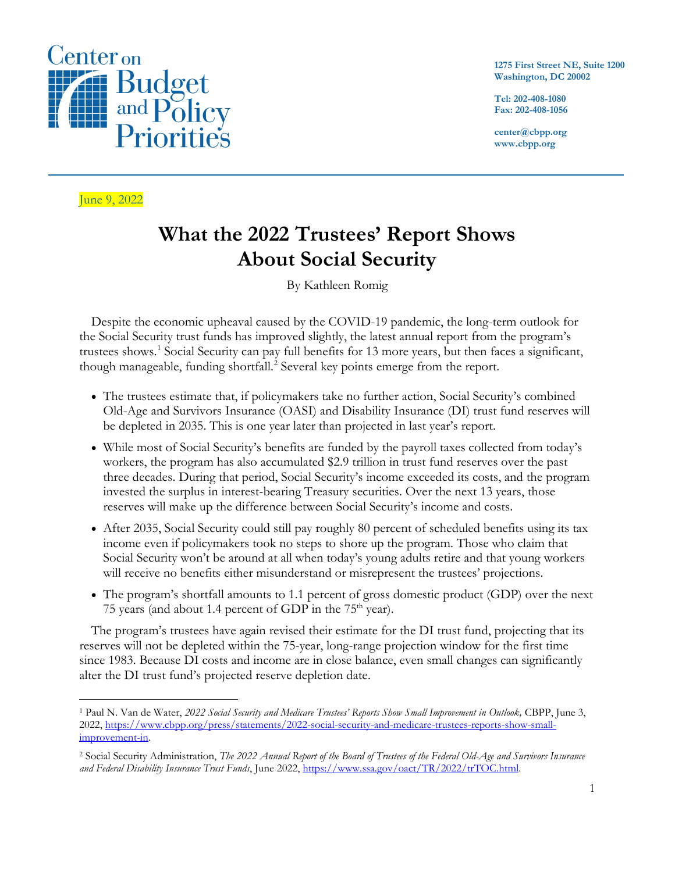

June 9, 2022

**1275 First Street NE, Suite 1200 Washington, DC 20002**

**Tel: 202-408-1080 Fax: 202-408-1056**

**center@cbpp.org www.cbpp.org**

# **What the 2022 Trustees' Report Shows About Social Security**

By Kathleen Romig

Despite the economic upheaval caused by the COVID-19 pandemic, the long-term outlook for the Social Security trust funds has improved slightly, the latest annual report from the program's trustees shows. [1](#page-0-0) Social Security can pay full benefits for 13 more years, but then faces a significant, though manageable, funding shortfall.<sup>[2](#page-0-1)</sup> Several key points emerge from the report.

- The trustees estimate that, if policymakers take no further action, Social Security's combined Old-Age and Survivors Insurance (OASI) and Disability Insurance (DI) trust fund reserves will be depleted in 2035. This is one year later than projected in last year's report.
- While most of Social Security's benefits are funded by the payroll taxes collected from today's workers, the program has also accumulated \$2.9 trillion in trust fund reserves over the past three decades. During that period, Social Security's income exceeded its costs, and the program invested the surplus in interest-bearing Treasury securities. Over the next 13 years, those reserves will make up the difference between Social Security's income and costs.
- After 2035, Social Security could still pay roughly 80 percent of scheduled benefits using its tax income even if policymakers took no steps to shore up the program. Those who claim that Social Security won't be around at all when today's young adults retire and that young workers will receive no benefits either misunderstand or misrepresent the trustees' projections.
- The program's shortfall amounts to 1.1 percent of gross domestic product (GDP) over the next 75 years (and about 1.4 percent of GDP in the  $75<sup>th</sup>$  year).

The program's trustees have again revised their estimate for the DI trust fund, projecting that its reserves will not be depleted within the 75-year, long-range projection window for the first time since 1983. Because DI costs and income are in close balance, even small changes can significantly alter the DI trust fund's projected reserve depletion date.

<span id="page-0-0"></span><sup>1</sup> Paul N. Van de Water, *2022 Social Security and Medicare Trustees' Reports Show Small Improvement in Outlook,* CBPP, June 3, 2022, [https://www.cbpp.org/press/statements/2022-social-security-and-medicare-trustees-reports-show-small](https://www.cbpp.org/press/statements/2022-social-security-and-medicare-trustees-reports-show-small-improvement-in)[improvement-in.](https://www.cbpp.org/press/statements/2022-social-security-and-medicare-trustees-reports-show-small-improvement-in) 

<span id="page-0-1"></span><sup>2</sup> Social Security Administration, *The 2022 Annual Report of the Board of Trustees of the Federal Old-Age and Survivors Insurance and Federal Disability Insurance Trust Funds*, June 2022[, https://www.ssa.gov/oact/TR/2022/trTOC.html.](https://www.ssa.gov/oact/TR/2022/trTOC.html)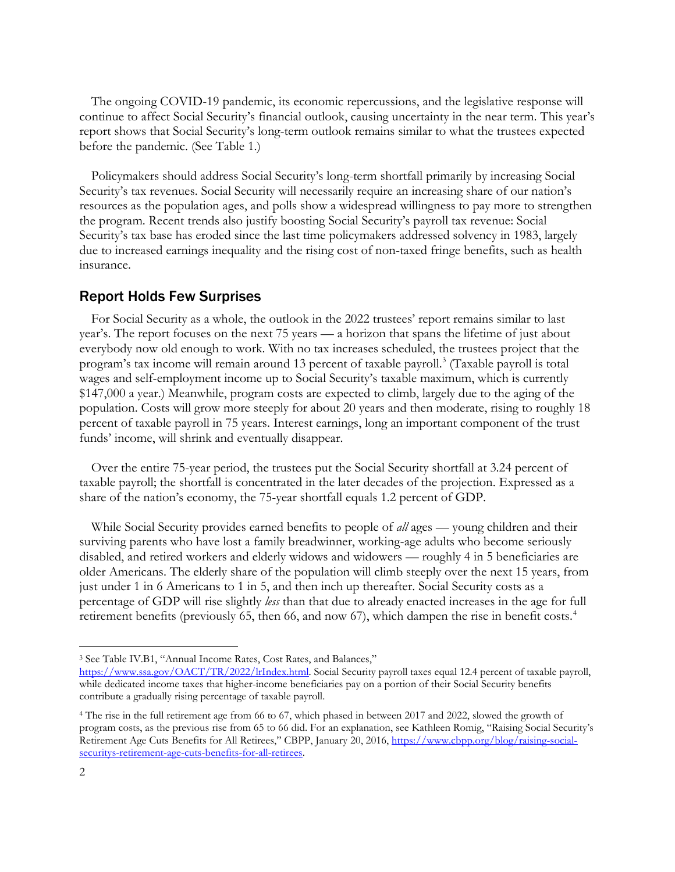The ongoing COVID-19 pandemic, its economic repercussions, and the legislative response will continue to affect Social Security's financial outlook, causing uncertainty in the near term. This year's report shows that Social Security's long-term outlook remains similar to what the trustees expected before the pandemic. (See Table 1.)

Policymakers should address Social Security's long-term shortfall primarily by increasing Social Security's tax revenues. Social Security will necessarily require an increasing share of our nation's resources as the population ages, and polls show a widespread willingness to pay more to strengthen the program. Recent trends also justify boosting Social Security's payroll tax revenue: Social Security's tax base has eroded since the last time policymakers addressed solvency in 1983, largely due to increased earnings inequality and the rising cost of non-taxed fringe benefits, such as health insurance.

### Report Holds Few Surprises

For Social Security as a whole, the outlook in the 2022 trustees' report remains similar to last year's. The report focuses on the next 75 years — a horizon that spans the lifetime of just about everybody now old enough to work. With no tax increases scheduled, the trustees project that the program's tax income will remain around 13 percent of taxable payroll.[3](#page-1-0) (Taxable payroll is total wages and self-employment income up to Social Security's taxable maximum, which is currently \$147,000 a year.) Meanwhile, program costs are expected to climb, largely due to the aging of the population. Costs will grow more steeply for about 20 years and then moderate, rising to roughly 18 percent of taxable payroll in 75 years. Interest earnings, long an important component of the trust funds' income, will shrink and eventually disappear.

Over the entire 75-year period, the trustees put the Social Security shortfall at 3.24 percent of taxable payroll; the shortfall is concentrated in the later decades of the projection. Expressed as a share of the nation's economy, the 75-year shortfall equals 1.2 percent of GDP.

While Social Security provides earned benefits to people of *all* ages — young children and their surviving parents who have lost a family breadwinner, working-age adults who become seriously disabled, and retired workers and elderly widows and widowers — roughly 4 in 5 beneficiaries are older Americans. The elderly share of the population will climb steeply over the next 15 years, from just under 1 in 6 Americans to 1 in 5, and then inch up thereafter. Social Security costs as a percentage of GDP will rise slightly *less* than that due to already enacted increases in the age for full retirement benefits (previously 65, then 66, and now 67), which dampen the rise in benefit costs. [4](#page-1-1)

<span id="page-1-0"></span><sup>3</sup> See Table IV.B1, "Annual Income Rates, Cost Rates, and Balances,"

[https://www.ssa.gov/OACT/TR/2022/lrIndex.html.](https://www.ssa.gov/OACT/TR/2022/lrIndex.html) Social Security payroll taxes equal 12.4 percent of taxable payroll, while dedicated income taxes that higher-income beneficiaries pay on a portion of their Social Security benefits contribute a gradually rising percentage of taxable payroll.

<span id="page-1-1"></span><sup>4</sup> The rise in the full retirement age from 66 to 67, which phased in between 2017 and 2022, slowed the growth of program costs, as the previous rise from 65 to 66 did. For an explanation, see Kathleen Romig, "Raising Social Security's Retirement Age Cuts Benefits for All Retirees," CBPP, January 20, 2016, [https://www.cbpp.org/blog/raising-social](https://www.cbpp.org/blog/raising-social-securitys-retirement-age-cuts-benefits-for-all-retirees)[securitys-retirement-age-cuts-benefits-for-all-retirees.](https://www.cbpp.org/blog/raising-social-securitys-retirement-age-cuts-benefits-for-all-retirees)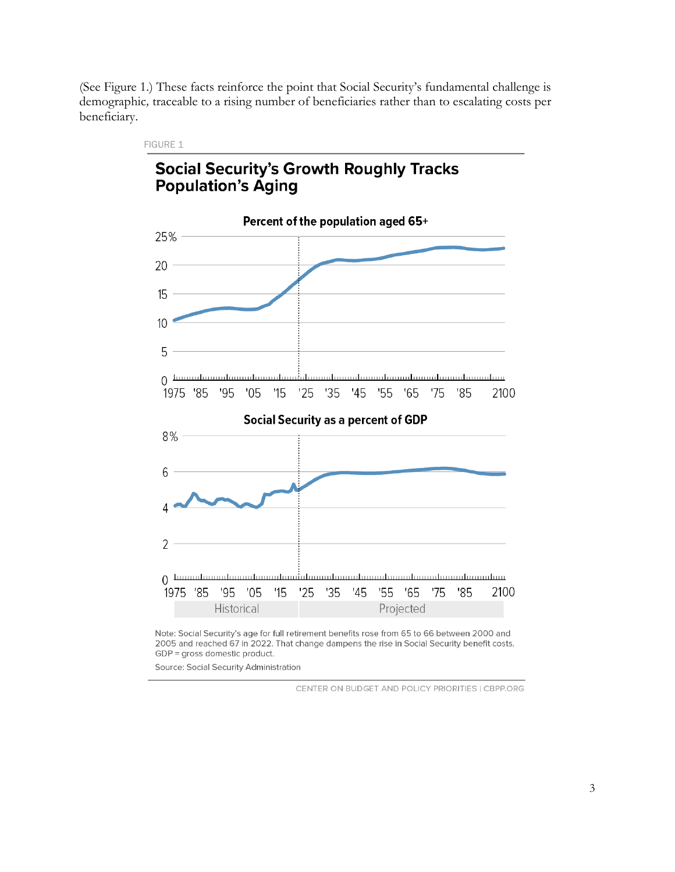(See Figure 1.) These facts reinforce the point that Social Security's fundamental challenge is demographic*,* traceable to a rising number of beneficiaries rather than to escalating costs per beneficiary.



Note: Social Security's age for full retirement benefits rose from 65 to 66 between 2000 and 2005 and reached 67 in 2022. That change dampens the rise in Social Security benefit costs. GDP = gross domestic product.

Source: Social Security Administration

CENTER ON BUDGET AND POLICY PRIORITIES | CBPP.ORG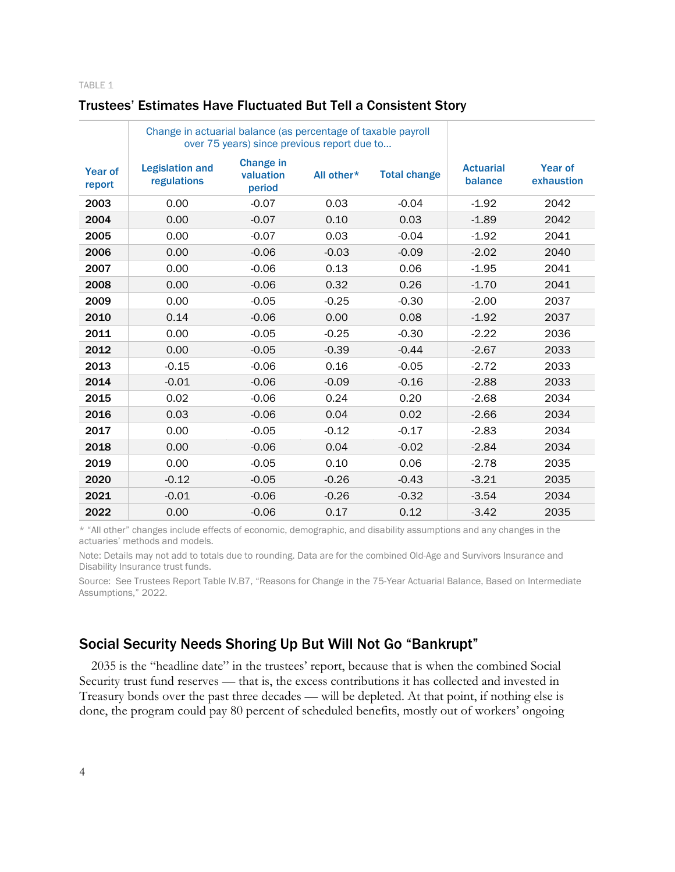#### TABLE 1

#### Change in actuarial balance (as percentage of taxable payroll over 75 years) since previous report due to… Year of report Legislation and regulations Change in valuation period All other\* Total change Actuarial balance Year of exhaustion 2003 0.00 -0.07 0.03 -0.04 -1.92 2042 2004 0.00 -0.07 0.10 0.03 -1.89 2042 2005 0.00 -0.07 0.03 -0.04 -1.92 2041 2006 0.00 -0.06 -0.03 -0.09 -2.02 2040 2007 0.00 -0.06 0.13 0.06 -1.95 2041 2008 0.00 -0.06 0.32 0.26 -1.70 2041 **2009** 0.00 -0.05 -0.25 -0.30 -2.00 2037 **2010** 0.14 -0.06 0.00 0.08 -1.92 2037 **2011** 0.00 -0.05 -0.25 -0.30 -2.22 2036 **2012** 0.00 -0.05 -0.39 -0.44 -2.67 2033 **2013** -0.15 -0.06 -0.16 -0.05 -2.72 -2033 **2014** -0.01 -0.06 -0.09 -0.16 -2.88 2033 2015 0.02 -0.06 0.24 0.20 -2.68 2034 **2016** 0.03 -0.06 0.04 0.02 -2.66 2034 **2017** 0.00 -0.05 -0.12 -0.17 -2.83 2034 **2018** 0.00 -0.06 0.04 -0.02 -2.84 2034 **2019** 0.00 -0.05 0.10 0.06 -2.78 2035 **2020** -0.12 -0.05 -0.26 -0.43 -3.21 - 2035 **2021** -0.01 -0.06 -0.26 -0.32 -3.54 2034 **2022** 0.00 -0.06 0.17 0.12 -3.42 2035

## Trustees' Estimates Have Fluctuated But Tell a Consistent Story

\* "All other" changes include effects of economic, demographic, and disability assumptions and any changes in the actuaries' methods and models.

Note: Details may not add to totals due to rounding. Data are for the combined Old-Age and Survivors Insurance and Disability Insurance trust funds.

Source: See Trustees Report Table IV.B7, "Reasons for Change in the 75-Year Actuarial Balance, Based on Intermediate Assumptions," 2022.

# Social Security Needs Shoring Up But Will Not Go "Bankrupt"

2035 is the "headline date" in the trustees' report, because that is when the combined Social Security trust fund reserves — that is, the excess contributions it has collected and invested in Treasury bonds over the past three decades — will be depleted. At that point, if nothing else is done, the program could pay 80 percent of scheduled benefits, mostly out of workers' ongoing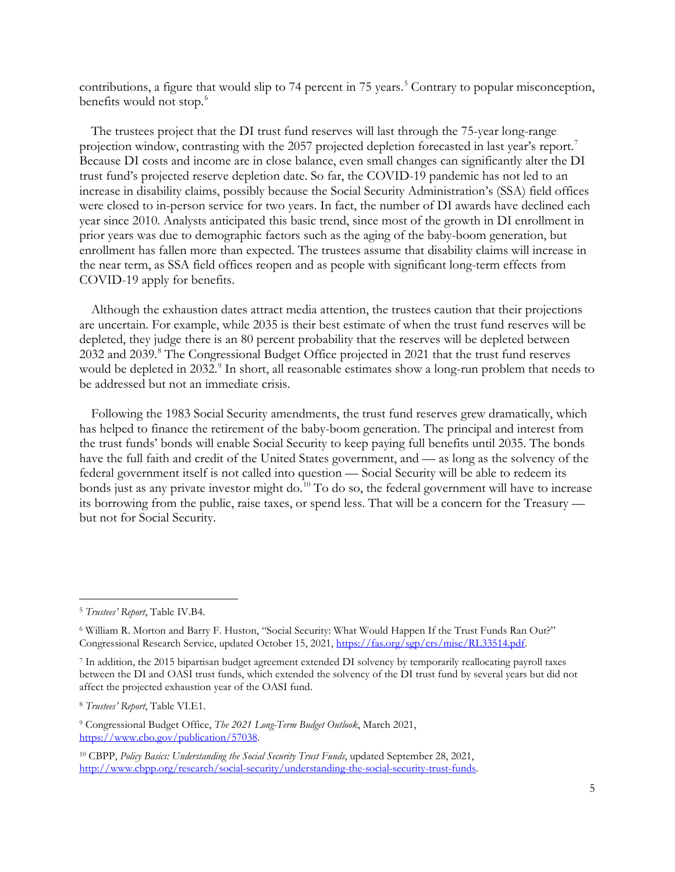contributions, a figure that would slip to 74 percent in 75 years. [5](#page-4-0) Contrary to popular misconception, benefits would not stop.<sup>[6](#page-4-1)</sup>

The trustees project that the DI trust fund reserves will last through the 75-year long-range projection window, contrasting with the 205[7](#page-4-2) projected depletion forecasted in last year's report.<sup>7</sup> Because DI costs and income are in close balance, even small changes can significantly alter the DI trust fund's projected reserve depletion date. So far, the COVID-19 pandemic has not led to an increase in disability claims, possibly because the Social Security Administration's (SSA) field offices were closed to in-person service for two years. In fact, the number of DI awards have declined each year since 2010. Analysts anticipated this basic trend, since most of the growth in DI enrollment in prior years was due to demographic factors such as the aging of the baby-boom generation, but enrollment has fallen more than expected. The trustees assume that disability claims will increase in the near term, as SSA field offices reopen and as people with significant long-term effects from COVID-19 apply for benefits.

Although the exhaustion dates attract media attention, the trustees caution that their projections are uncertain. For example, while 2035 is their best estimate of when the trust fund reserves will be depleted, they judge there is an 80 percent probability that the reserves will be depleted between 2032 and 2039. [8](#page-4-3) The Congressional Budget Office projected in 2021 that the trust fund reserves would be depleted in 2032.<sup>[9](#page-4-4)</sup> In short, all reasonable estimates show a long-run problem that needs to be addressed but not an immediate crisis.

Following the 1983 Social Security amendments, the trust fund reserves grew dramatically, which has helped to finance the retirement of the baby-boom generation. The principal and interest from the trust funds' bonds will enable Social Security to keep paying full benefits until 2035. The bonds have the full faith and credit of the United States government, and — as long as the solvency of the federal government itself is not called into question — Social Security will be able to redeem its bonds just as any private investor might do.<sup>10</sup> To do so, the federal government will have to increase its borrowing from the public, raise taxes, or spend less. That will be a concern for the Treasury but not for Social Security.

<span id="page-4-0"></span><sup>5</sup> *Trustees' Report*, Table IV.B4.

<span id="page-4-1"></span><sup>6</sup> William R. Morton and Barry F. Huston, "Social Security: What Would Happen If the Trust Funds Ran Out?" Congressional Research Service, updated October 15, 2021, [https://fas.org/sgp/crs/misc/RL33514.pdf.](https://fas.org/sgp/crs/misc/RL33514.pdf)

<span id="page-4-2"></span><sup>7</sup> In addition, the 2015 bipartisan budget agreement extended DI solvency by temporarily reallocating payroll taxes between the DI and OASI trust funds, which extended the solvency of the DI trust fund by several years but did not affect the projected exhaustion year of the OASI fund.

<span id="page-4-3"></span><sup>8</sup> *Trustees' Report*, Table VI.E1.

<span id="page-4-4"></span><sup>9</sup> Congressional Budget Office, *The 2021 Long-Term Budget Outlook*, March 2021, [https://www.cbo.gov/publication/57038.](https://www.cbo.gov/publication/57038) 

<span id="page-4-5"></span><sup>10</sup> CBPP, *Policy Basics: Understanding the Social Security Trust Funds*, updated September 28, 2021, [http://www.cbpp.org/research/social-security/understanding-the-social-security-trust-funds.](http://www.cbpp.org/research/social-security/understanding-the-social-security-trust-funds)